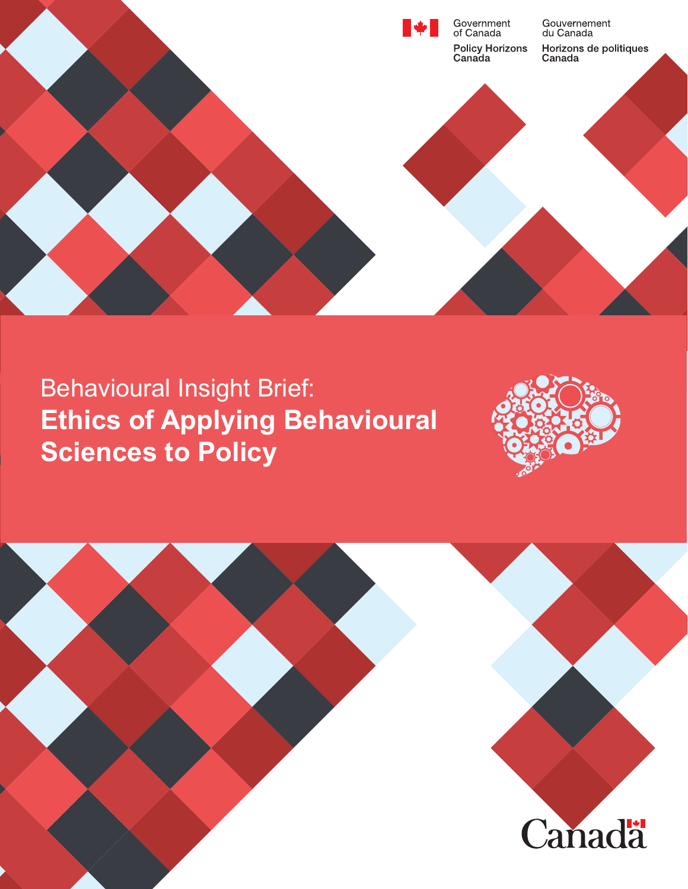

# Behavioural Insight Brief: **Ethics of Applying Behavioural Sciences to Policy**



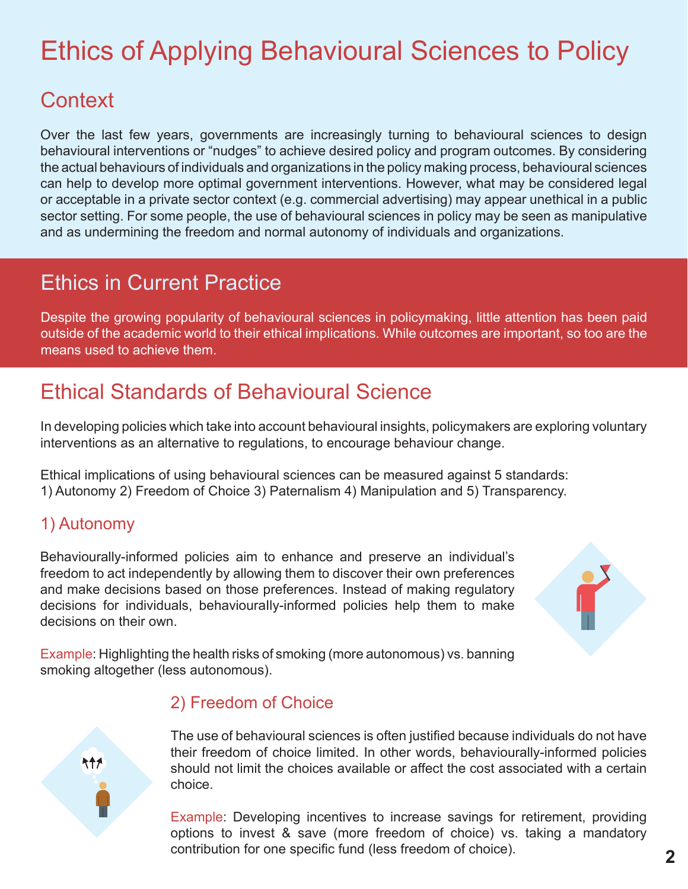# Ethics of Applying Behavioural Sciences to Policy

# **Context**

Over the last few years, governments are increasingly turning to behavioural sciences to design behavioural interventions or "nudges" to achieve desired policy and program outcomes. By considering the actual behaviours of individuals and organizations in the policy making process, behavioural sciences can help to develop more optimal government interventions. However, what may be considered legal or acceptable in a private sector context (e.g. commercial advertising) may appear unethical in a public sector setting. For some people, the use of behavioural sciences in policy may be seen as manipulative and as undermining the freedom and normal autonomy of individuals and organizations.

## Ethics in Current Practice

Despite the growing popularity of behavioural sciences in policymaking, little attention has been paid outside of the academic world to their ethical implications. While outcomes are important, so too are the means used to achieve them.

# Ethical Standards of Behavioural Science

In developing policies which take into account behavioural insights, policymakers are exploring voluntary interventions as an alternative to regulations, to encourage behaviour change.

Ethical implications of using behavioural sciences can be measured against 5 standards: 1) Autonomy 2) Freedom of Choice 3) Paternalism 4) Manipulation and 5) Transparency.

#### 1) Autonomy

541

Behaviourally-informed policies aim to enhance and preserve an individual's freedom to act independently by allowing them to discover their own preferences and make decisions based on those preferences. Instead of making regulatory decisions for individuals, behaviouraIly-informed policies help them to make decisions on their own.



Example: Highlighting the health risks of smoking (more autonomous) vs. banning smoking altogether (less autonomous).

#### 2) Freedom of Choice

The use of behavioural sciences is often justified because individuals do not have their freedom of choice limited. In other words, behaviourally-informed policies should not limit the choices available or affect the cost associated with a certain choice.

Example: Developing incentives to increase savings for retirement, providing options to invest & save (more freedom of choice) vs. taking a mandatory contribution for one specific fund (less freedom of choice).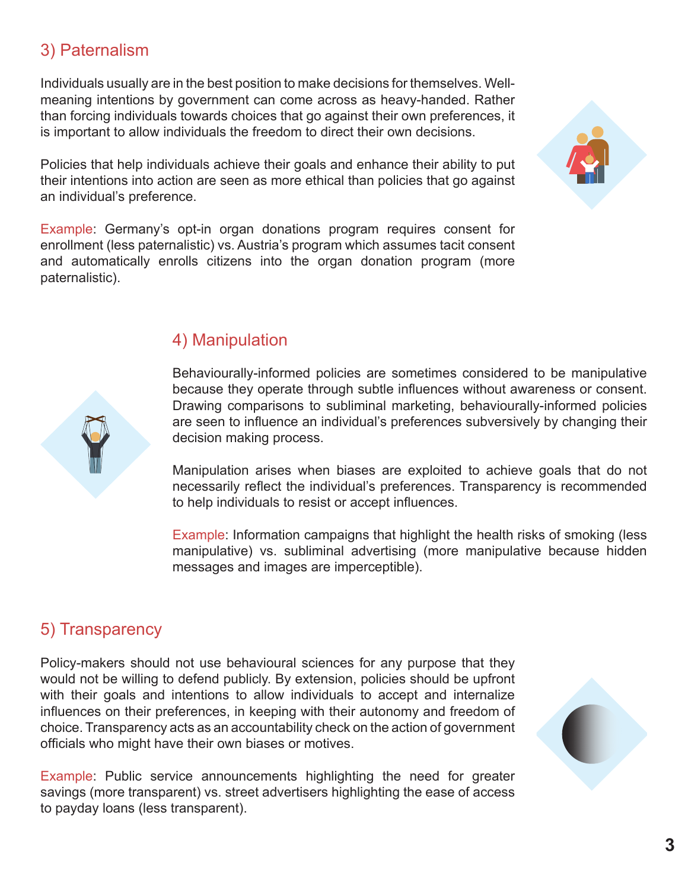#### 3) Paternalism

Individuals usually are in the best position to make decisions for themselves. Wellmeaning intentions by government can come across as heavy-handed. Rather than forcing individuals towards choices that go against their own preferences, it is important to allow individuals the freedom to direct their own decisions.

Policies that help individuals achieve their goals and enhance their ability to put their intentions into action are seen as more ethical than policies that go against an individual's preference.

Example: Germany's opt-in organ donations program requires consent for enrollment (less paternalistic) vs. Austria's program which assumes tacit consent and automatically enrolls citizens into the organ donation program (more paternalistic).



#### 4) Manipulation

Behaviourally-informed policies are sometimes considered to be manipulative because they operate through subtle influences without awareness or consent. Drawing comparisons to subliminal marketing, behaviourally-informed policies are seen to influence an individual's preferences subversively by changing their decision making process.

Manipulation arises when biases are exploited to achieve goals that do not necessarily reflect the individual's preferences. Transparency is recommended to help individuals to resist or accept influences.

Example: Information campaigns that highlight the health risks of smoking (less manipulative) vs. subliminal advertising (more manipulative because hidden messages and images are imperceptible).

#### 5) Transparency

Policy-makers should not use behavioural sciences for any purpose that they would not be willing to defend publicly. By extension, policies should be upfront with their goals and intentions to allow individuals to accept and internalize influences on their preferences, in keeping with their autonomy and freedom of choice. Transparency acts as an accountability check on the action of government officials who might have their own biases or motives.

Example: Public service announcements highlighting the need for greater savings (more transparent) vs. street advertisers highlighting the ease of access to payday loans (less transparent).

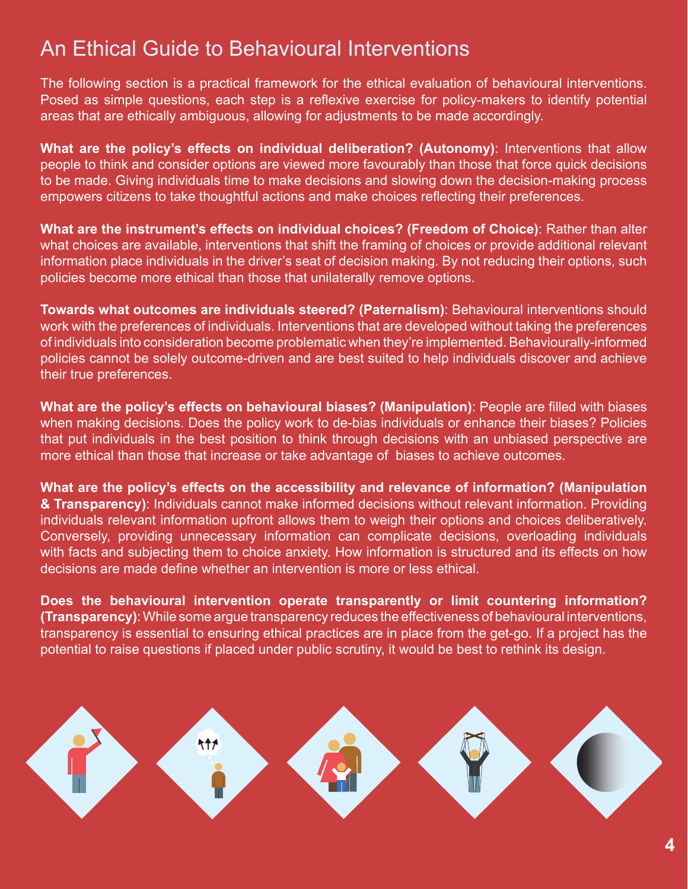### An Ethical Guide to Behavioural Interventions

The following section is a practical framework for the ethical evaluation of behavioural interventions. Posed as simple questions, each step is a reflexive exercise for policy-makers to identify potential areas that are ethically ambiguous, allowing for adjustments to be made accordingly.

**What are the policy's effects on individual deliberation? (Autonomy)**: Interventions that allow people to think and consider options are viewed more favourably than those that force quick decisions to be made. Giving individuals time to make decisions and slowing down the decision-making process empowers citizens to take thoughtful actions and make choices reflecting their preferences.

**What are the instrument's effects on individual choices? (Freedom of Choice)**: Rather than alter what choices are available, interventions that shift the framing of choices or provide additional relevant information place individuals in the driver's seat of decision making. By not reducing their options, such policies become more ethical than those that unilaterally remove options.

**Towards what outcomes are individuals steered? (Paternalism)**: Behavioural interventions should work with the preferences of individuals. Interventions that are developed without taking the preferences of individuals into consideration become problematic when they're implemented. Behaviourally-informed policies cannot be solely outcome-driven and are best suited to help individuals discover and achieve their true preferences.

**What are the policy's effects on behavioural biases? (Manipulation)**: People are filled with biases when making decisions. Does the policy work to de-bias individuals or enhance their biases? Policies that put individuals in the best position to think through decisions with an unbiased perspective are more ethical than those that increase or take advantage of biases to achieve outcomes.

**What are the policy's effects on the accessibility and relevance of information? (Manipulation & Transparency)**: Individuals cannot make informed decisions without relevant information. Providing individuals relevant information upfront allows them to weigh their options and choices deliberatively. Conversely, providing unnecessary information can complicate decisions, overloading individuals with facts and subjecting them to choice anxiety. How information is structured and its effects on how decisions are made define whether an intervention is more or less ethical.

**Does the behavioural intervention operate transparently or limit countering information? (Transparency)**: While some argue transparency reduces the effectiveness of behavioural interventions, transparency is essential to ensuring ethical practices are in place from the get-go. If a project has the potential to raise questions if placed under public scrutiny, it would be best to rethink its design.